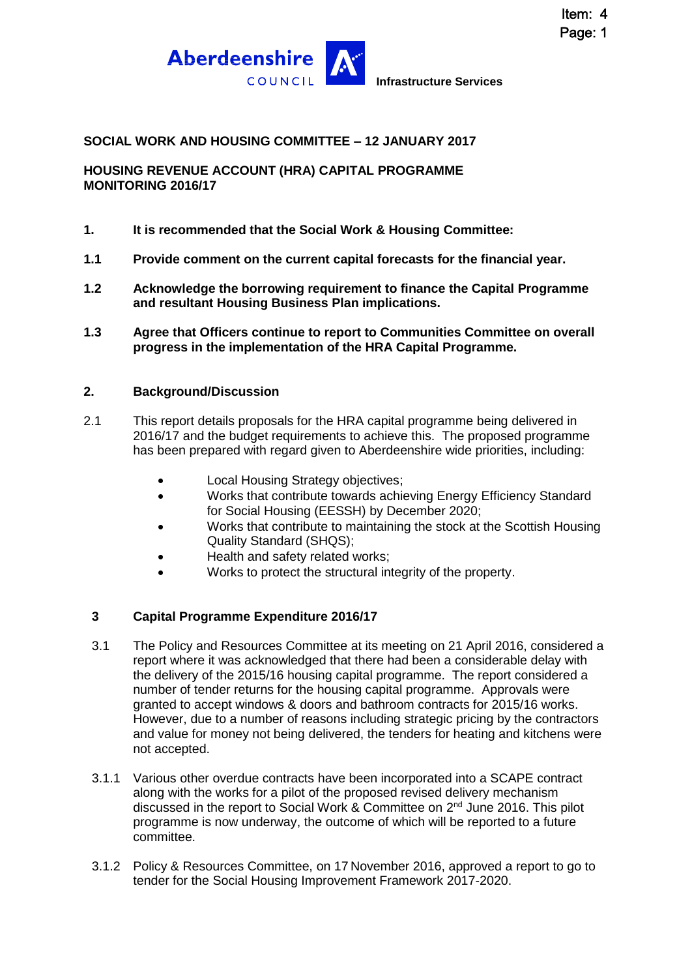



#### **SOCIAL WORK AND HOUSING COMMITTEE – 12 JANUARY 2017**

**HOUSING REVENUE ACCOUNT (HRA) CAPITAL PROGRAMME MONITORING 2016/17**

#### **1. It is recommended that the Social Work & Housing Committee:**

- **1.1 Provide comment on the current capital forecasts for the financial year.**
- **1.2 Acknowledge the borrowing requirement to finance the Capital Programme and resultant Housing Business Plan implications.**
- **1.3 Agree that Officers continue to report to Communities Committee on overall progress in the implementation of the HRA Capital Programme.**

#### **2. Background/Discussion**

- 2.1 This report details proposals for the HRA capital programme being delivered in 2016/17 and the budget requirements to achieve this. The proposed programme has been prepared with regard given to Aberdeenshire wide priorities, including:
	- Local Housing Strategy objectives;
	- Works that contribute towards achieving Energy Efficiency Standard for Social Housing (EESSH) by December 2020;
	- Works that contribute to maintaining the stock at the Scottish Housing Quality Standard (SHQS);
	- Health and safety related works;
	- Works to protect the structural integrity of the property.

### **3 Capital Programme Expenditure 2016/17**

- 3.1 The Policy and Resources Committee at its meeting on 21 April 2016, considered a report where it was acknowledged that there had been a considerable delay with the delivery of the 2015/16 housing capital programme. The report considered a number of tender returns for the housing capital programme. Approvals were granted to accept windows & doors and bathroom contracts for 2015/16 works. However, due to a number of reasons including strategic pricing by the contractors and value for money not being delivered, the tenders for heating and kitchens were not accepted.
- 3.1.1 Various other overdue contracts have been incorporated into a SCAPE contract along with the works for a pilot of the proposed revised delivery mechanism discussed in the report to Social Work & Committee on 2<sup>nd</sup> June 2016. This pilot programme is now underway, the outcome of which will be reported to a future committee.
- 3.1.2 Policy & Resources Committee, on 17 November 2016, approved a report to go to tender for the Social Housing Improvement Framework 2017-2020.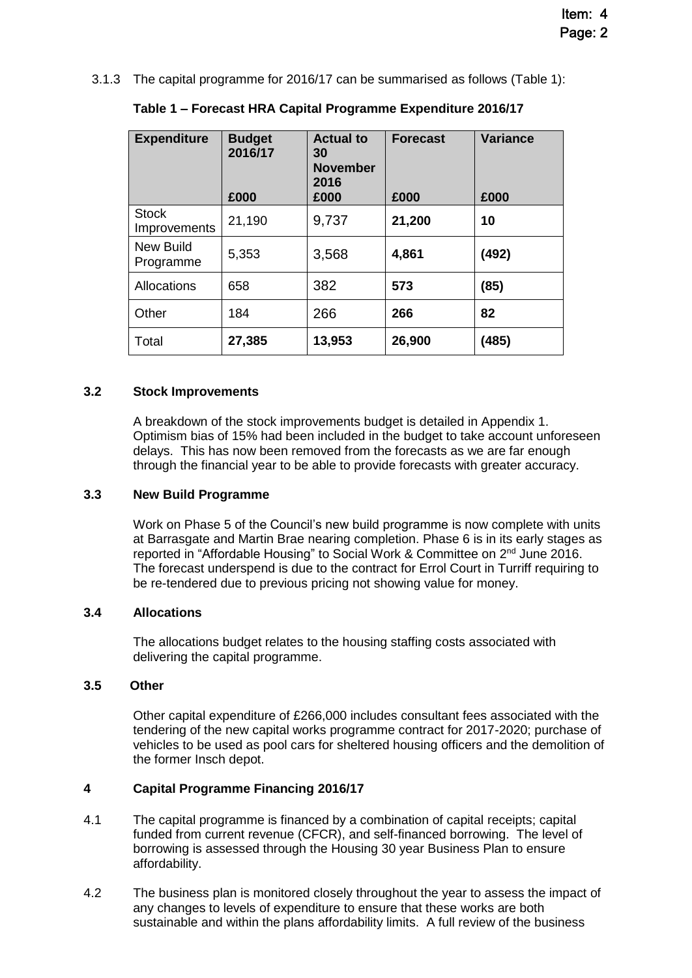3.1.3 The capital programme for 2016/17 can be summarised as follows (Table 1):

| <b>Expenditure</b>            | <b>Budget</b><br>2016/17<br>£000 | <b>Actual to</b><br>30<br><b>November</b><br>2016<br>£000 | <b>Forecast</b><br>£000 | <b>Variance</b><br>£000 |
|-------------------------------|----------------------------------|-----------------------------------------------------------|-------------------------|-------------------------|
| <b>Stock</b><br>Improvements  | 21,190                           | 9,737                                                     | 21,200                  | 10                      |
| <b>New Build</b><br>Programme | 5,353                            | 3,568                                                     | 4,861                   | (492)                   |
| Allocations                   | 658                              | 382                                                       | 573                     | (85)                    |
| Other                         | 184                              | 266                                                       | 266                     | 82                      |
| Total                         | 27,385                           | 13,953                                                    | 26,900                  | (485)                   |

**Table 1 – Forecast HRA Capital Programme Expenditure 2016/17**

#### **3.2 Stock Improvements**

A breakdown of the stock improvements budget is detailed in Appendix 1. Optimism bias of 15% had been included in the budget to take account unforeseen delays. This has now been removed from the forecasts as we are far enough through the financial year to be able to provide forecasts with greater accuracy.

#### **3.3 New Build Programme**

Work on Phase 5 of the Council's new build programme is now complete with units at Barrasgate and Martin Brae nearing completion. Phase 6 is in its early stages as reported in "Affordable Housing" to Social Work & Committee on 2nd June 2016. The forecast underspend is due to the contract for Errol Court in Turriff requiring to be re-tendered due to previous pricing not showing value for money.

#### **3.4 Allocations**

The allocations budget relates to the housing staffing costs associated with delivering the capital programme.

#### **3.5 Other**

Other capital expenditure of £266,000 includes consultant fees associated with the tendering of the new capital works programme contract for 2017-2020; purchase of vehicles to be used as pool cars for sheltered housing officers and the demolition of the former Insch depot.

#### **4 Capital Programme Financing 2016/17**

- 4.1 The capital programme is financed by a combination of capital receipts; capital funded from current revenue (CFCR), and self-financed borrowing. The level of borrowing is assessed through the Housing 30 year Business Plan to ensure affordability.
- 4.2 The business plan is monitored closely throughout the year to assess the impact of any changes to levels of expenditure to ensure that these works are both sustainable and within the plans affordability limits. A full review of the business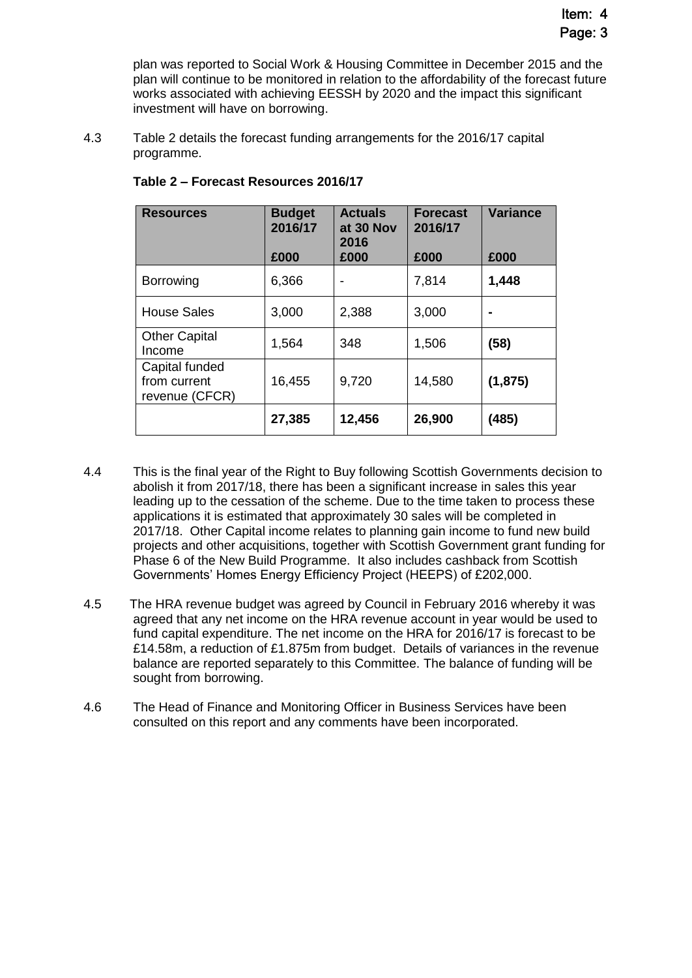plan was reported to Social Work & Housing Committee in December 2015 and the plan will continue to be monitored in relation to the affordability of the forecast future works associated with achieving EESSH by 2020 and the impact this significant investment will have on borrowing.

4.3 Table 2 details the forecast funding arrangements for the 2016/17 capital programme.

| <b>Resources</b>                                 | <b>Budget</b><br>2016/17 | <b>Actuals</b><br>at 30 Nov<br>2016 | <b>Forecast</b><br>2016/17 | <b>Variance</b> |
|--------------------------------------------------|--------------------------|-------------------------------------|----------------------------|-----------------|
|                                                  | £000                     | £000                                | £000                       | £000            |
| <b>Borrowing</b>                                 | 6,366                    | -                                   | 7,814                      | 1,448           |
| <b>House Sales</b>                               | 3,000                    | 2,388                               | 3,000                      |                 |
| <b>Other Capital</b><br>Income                   | 1,564                    | 348                                 | 1,506                      | (58)            |
| Capital funded<br>from current<br>revenue (CFCR) | 16,455                   | 9,720                               | 14,580                     | (1, 875)        |
|                                                  | 27,385                   | 12,456                              | 26,900                     | (485)           |

## **Table 2 – Forecast Resources 2016/17**

- 4.4 This is the final year of the Right to Buy following Scottish Governments decision to abolish it from 2017/18, there has been a significant increase in sales this year leading up to the cessation of the scheme. Due to the time taken to process these applications it is estimated that approximately 30 sales will be completed in 2017/18. Other Capital income relates to planning gain income to fund new build projects and other acquisitions, together with Scottish Government grant funding for Phase 6 of the New Build Programme. It also includes cashback from Scottish Governments' Homes Energy Efficiency Project (HEEPS) of £202,000.
- 4.5 The HRA revenue budget was agreed by Council in February 2016 whereby it was agreed that any net income on the HRA revenue account in year would be used to fund capital expenditure. The net income on the HRA for 2016/17 is forecast to be £14.58m, a reduction of £1.875m from budget. Details of variances in the revenue balance are reported separately to this Committee. The balance of funding will be sought from borrowing.
- 4.6 The Head of Finance and Monitoring Officer in Business Services have been consulted on this report and any comments have been incorporated.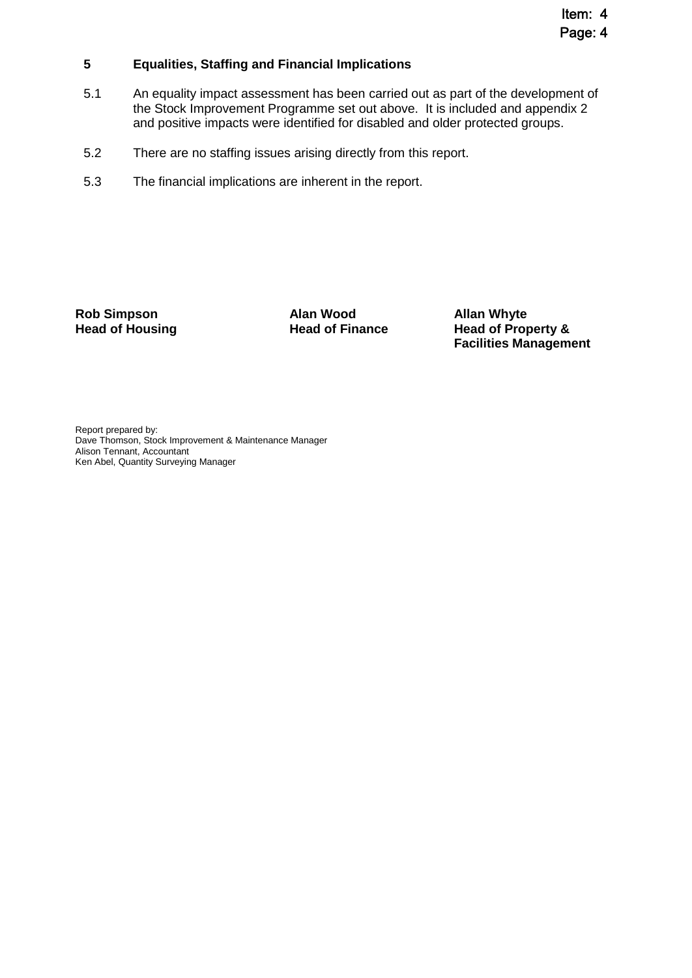#### **5 Equalities, Staffing and Financial Implications**

- 5.1 An equality impact assessment has been carried out as part of the development of the Stock Improvement Programme set out above. It is included and appendix 2 and positive impacts were identified for disabled and older protected groups.
- 5.2 There are no staffing issues arising directly from this report.
- 5.3 The financial implications are inherent in the report.

**Rob Simpson <b>Alan Wood Allan Whyte**<br> **Allan Whyte**<br> **Allan Whyte**<br> **Allan Whyte**<br> **Allan Whyte**<br> **Allan Whyte**<br> **Allan Whyte**<br> **Allan Whyte** 

**Head of Property & Facilities Management**

Report prepared by: Dave Thomson, Stock Improvement & Maintenance Manager Alison Tennant, Accountant Ken Abel, Quantity Surveying Manager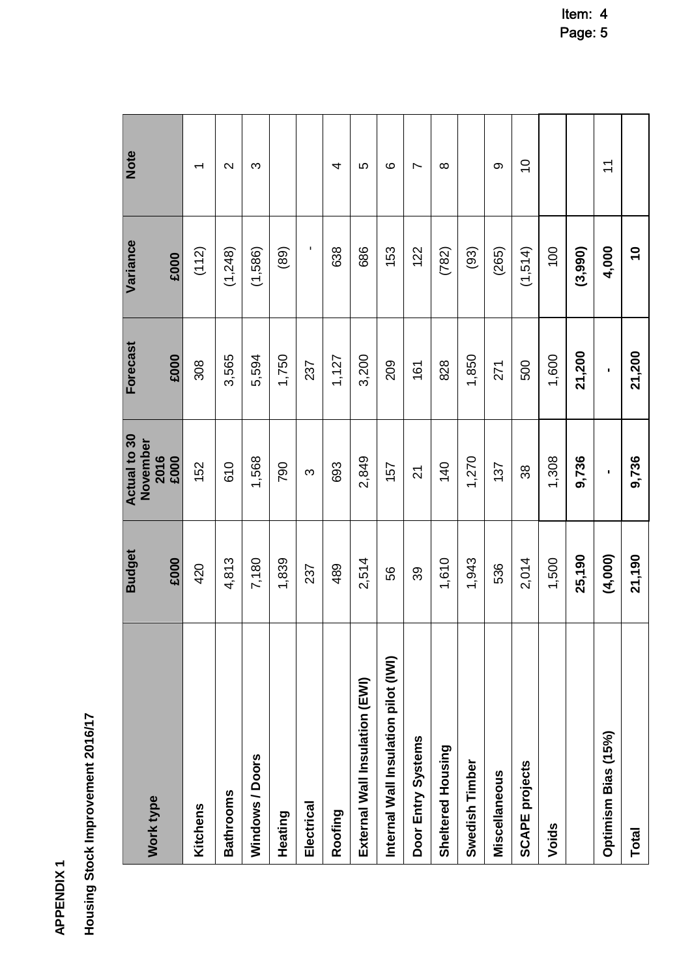**APPENDIX1 APPENDIX 1**

Housing Stock Improvement 2016/17 **Housing Stock Improvement 2016/17**

| Work type                            | <b>Budget</b> | Actual to 30<br>November | Forecast | Variance                 | Note                      |
|--------------------------------------|---------------|--------------------------|----------|--------------------------|---------------------------|
|                                      | £000          | 2016<br>£000             | £000     | £000                     |                           |
| Kitchens                             | 420           | 152                      | 308      | (112)                    | $\overline{\phantom{0}}$  |
| <b>Bathrooms</b>                     | 4,813         | 610                      | 3,565    | (1,248)                  | $\sim$                    |
| Windows / Doors                      | 7,180         | 1,568                    | 5,594    | (1,586)                  | က                         |
| Heating                              | 1,839         | 790                      | 1,750    | (89)                     |                           |
| Electrical                           | 237           | S                        | 237      | ٠                        |                           |
| Roofing                              | 489           | 693                      | 1,127    | 638                      | 4                         |
| External Wall Insulation (EWI)       | 2,514         | 2,849                    | 3,200    | 686                      | 5                         |
| Internal Wall Insulation pilot (IWI) | 56            | 157                      | 209      | 153                      | ဖ                         |
| Door Entry Systems                   | 39            | $\overline{2}$           | 161      | 122                      | Ľ                         |
| Sheltered Housing                    | 1,610         | 140                      | 828      | (782)                    | $\infty$                  |
| Swedish Timber                       | 1,943         | 1,270                    | 1,850    | (93)                     |                           |
| Miscellaneous                        | 536           | 137                      | 271      | (265)                    | တ                         |
| <b>SCAPE projects</b>                | 2,014         | 38                       | 500      | (1,514)                  | $\widetilde{\phantom{a}}$ |
| Voids                                | 1,500         | 1,308                    | 1,600    | 100                      |                           |
|                                      | 25,190        | 9,736                    | 21,200   | (3,990)                  |                           |
| Optimism Bias (15%)                  | (4,000)       | ı                        | п        | 4,000                    | $\tilde{1}$               |
| <b>Total</b>                         | 21,190        | 9,736                    | 21,200   | $\overline{\phantom{0}}$ |                           |

Item: 4 Page: 5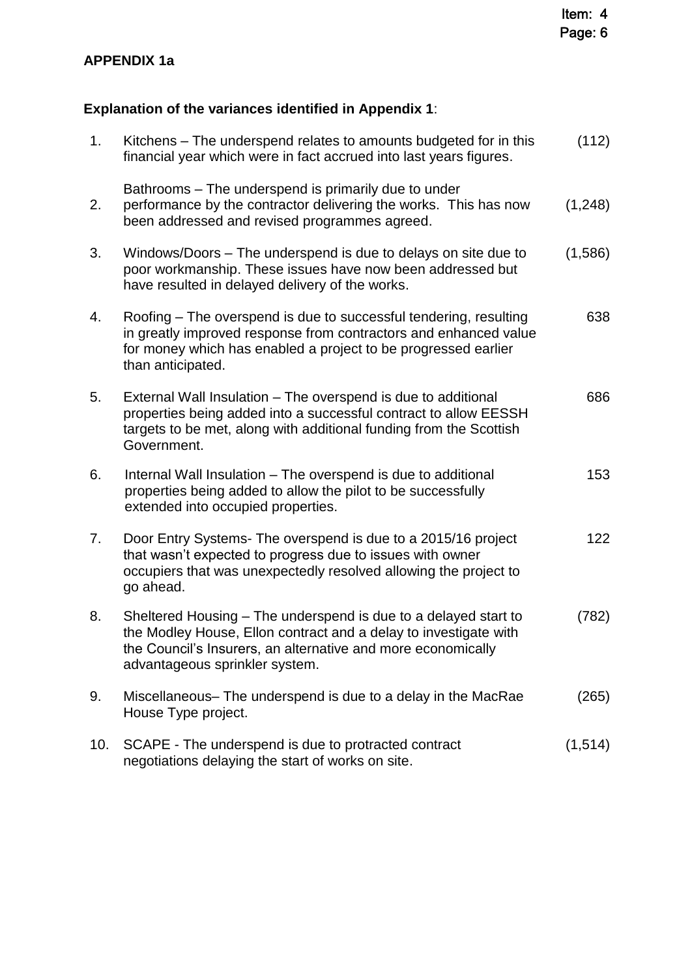# **APPENDIX 1a**

# **Explanation of the variances identified in Appendix 1**:

| 1.  | Kitchens – The underspend relates to amounts budgeted for in this<br>financial year which were in fact accrued into last years figures.                                                                                               | (112)   |
|-----|---------------------------------------------------------------------------------------------------------------------------------------------------------------------------------------------------------------------------------------|---------|
| 2.  | Bathrooms – The underspend is primarily due to under<br>performance by the contractor delivering the works. This has now<br>been addressed and revised programmes agreed.                                                             | (1,248) |
| 3.  | Windows/Doors – The underspend is due to delays on site due to<br>poor workmanship. These issues have now been addressed but<br>have resulted in delayed delivery of the works.                                                       | (1,586) |
| 4.  | Roofing - The overspend is due to successful tendering, resulting<br>in greatly improved response from contractors and enhanced value<br>for money which has enabled a project to be progressed earlier<br>than anticipated.          | 638     |
| 5.  | External Wall Insulation - The overspend is due to additional<br>properties being added into a successful contract to allow EESSH<br>targets to be met, along with additional funding from the Scottish<br>Government.                | 686     |
| 6.  | Internal Wall Insulation - The overspend is due to additional<br>properties being added to allow the pilot to be successfully<br>extended into occupied properties.                                                                   | 153     |
| 7.  | Door Entry Systems- The overspend is due to a 2015/16 project<br>that wasn't expected to progress due to issues with owner<br>occupiers that was unexpectedly resolved allowing the project to<br>go ahead.                           | 122     |
| 8.  | Sheltered Housing – The underspend is due to a delayed start to<br>the Modley House, Ellon contract and a delay to investigate with<br>the Council's Insurers, an alternative and more economically<br>advantageous sprinkler system. | (782)   |
| 9.  | Miscellaneous– The underspend is due to a delay in the MacRae<br>House Type project.                                                                                                                                                  | (265)   |
| 10. | SCAPE - The underspend is due to protracted contract<br>negotiations delaying the start of works on site.                                                                                                                             | (1,514) |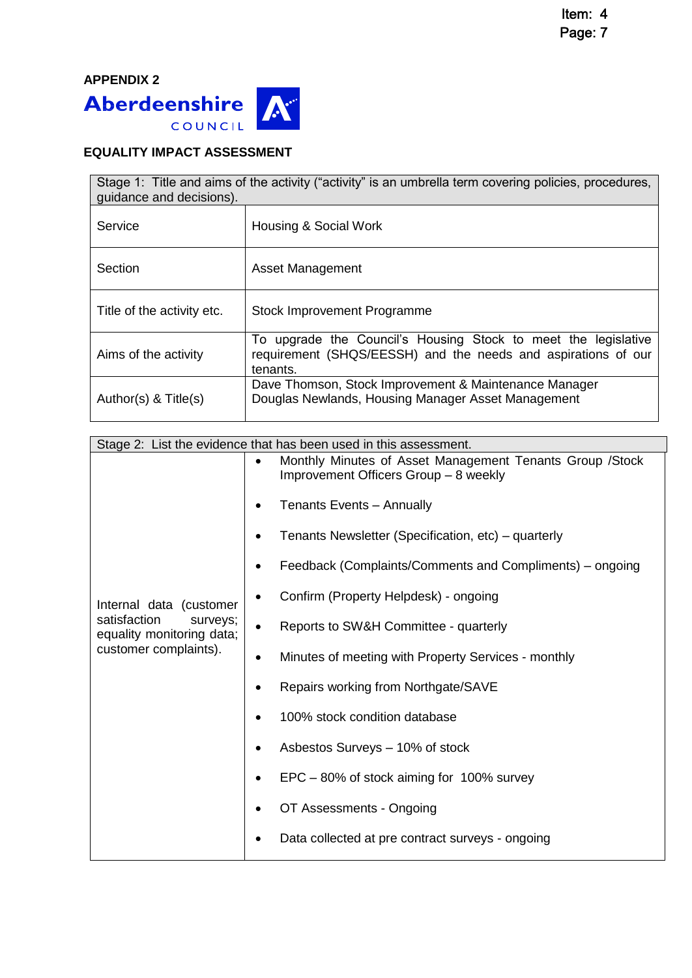

## **EQUALITY IMPACT ASSESSMENT**

| Stage 1: Title and aims of the activity ("activity" is an umbrella term covering policies, procedures,<br>quidance and decisions). |                                                                                                                                             |  |  |
|------------------------------------------------------------------------------------------------------------------------------------|---------------------------------------------------------------------------------------------------------------------------------------------|--|--|
| Service                                                                                                                            | Housing & Social Work                                                                                                                       |  |  |
| Section                                                                                                                            | Asset Management                                                                                                                            |  |  |
| Title of the activity etc.                                                                                                         | Stock Improvement Programme                                                                                                                 |  |  |
| Aims of the activity                                                                                                               | To upgrade the Council's Housing Stock to meet the legislative<br>requirement (SHQS/EESSH) and the needs and aspirations of our<br>tenants. |  |  |
| Author(s) $<$ Title(s)                                                                                                             | Dave Thomson, Stock Improvement & Maintenance Manager<br>Douglas Newlands, Housing Manager Asset Management                                 |  |  |

| Stage 2: List the evidence that has been used in this assessment.                                         |  |                                                                                                    |
|-----------------------------------------------------------------------------------------------------------|--|----------------------------------------------------------------------------------------------------|
|                                                                                                           |  | Monthly Minutes of Asset Management Tenants Group / Stock<br>Improvement Officers Group - 8 weekly |
| Internal data (customer<br>satisfaction<br>surveys;<br>equality monitoring data;<br>customer complaints). |  | <b>Tenants Events - Annually</b>                                                                   |
|                                                                                                           |  | Tenants Newsletter (Specification, etc) – quarterly                                                |
|                                                                                                           |  | Feedback (Complaints/Comments and Compliments) – ongoing                                           |
|                                                                                                           |  | Confirm (Property Helpdesk) - ongoing                                                              |
|                                                                                                           |  | Reports to SW&H Committee - quarterly                                                              |
|                                                                                                           |  | Minutes of meeting with Property Services - monthly                                                |
|                                                                                                           |  | Repairs working from Northgate/SAVE                                                                |
|                                                                                                           |  | 100% stock condition database                                                                      |
|                                                                                                           |  | Asbestos Surveys - 10% of stock                                                                    |
|                                                                                                           |  | EPC – 80% of stock aiming for 100% survey                                                          |
|                                                                                                           |  | OT Assessments - Ongoing                                                                           |
|                                                                                                           |  | Data collected at pre contract surveys - ongoing                                                   |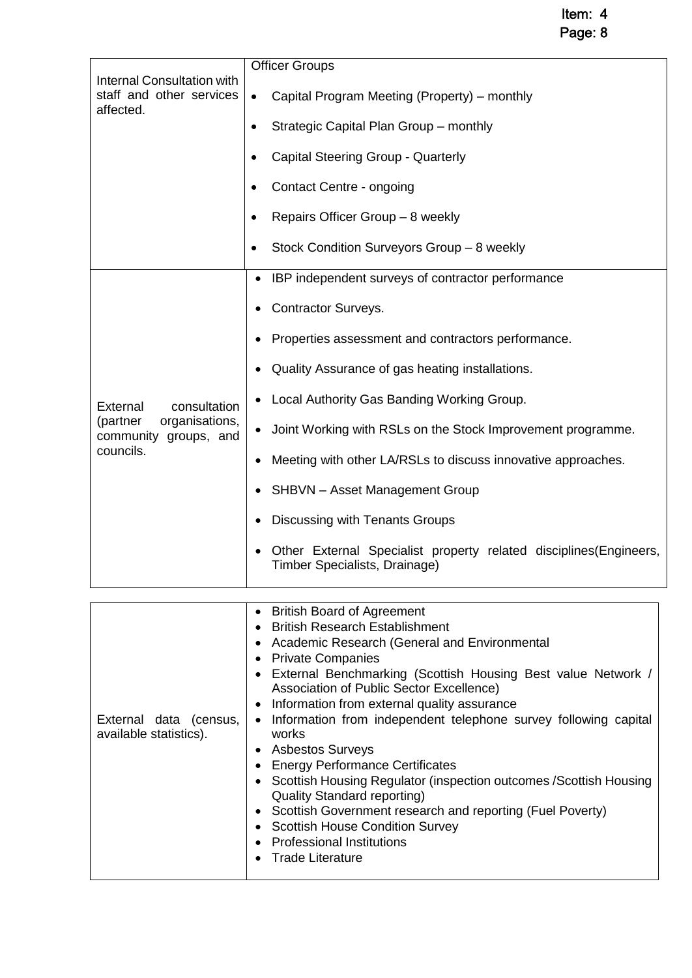Item: 4

Page: 8

| <b>Internal Consultation with</b>                                                            | <b>Officer Groups</b>                                                                                        |  |  |
|----------------------------------------------------------------------------------------------|--------------------------------------------------------------------------------------------------------------|--|--|
| staff and other services<br>affected.                                                        | Capital Program Meeting (Property) – monthly<br>$\bullet$                                                    |  |  |
|                                                                                              | Strategic Capital Plan Group - monthly                                                                       |  |  |
|                                                                                              | <b>Capital Steering Group - Quarterly</b>                                                                    |  |  |
|                                                                                              | Contact Centre - ongoing                                                                                     |  |  |
|                                                                                              | Repairs Officer Group - 8 weekly                                                                             |  |  |
|                                                                                              | Stock Condition Surveyors Group - 8 weekly                                                                   |  |  |
|                                                                                              | IBP independent surveys of contractor performance                                                            |  |  |
|                                                                                              | <b>Contractor Surveys.</b>                                                                                   |  |  |
|                                                                                              | Properties assessment and contractors performance.                                                           |  |  |
| External<br>consultation<br>organisations,<br>(partner<br>community groups, and<br>councils. | Quality Assurance of gas heating installations.                                                              |  |  |
|                                                                                              | Local Authority Gas Banding Working Group.                                                                   |  |  |
|                                                                                              | Joint Working with RSLs on the Stock Improvement programme.                                                  |  |  |
|                                                                                              | Meeting with other LA/RSLs to discuss innovative approaches.                                                 |  |  |
|                                                                                              | <b>SHBVN</b> - Asset Management Group                                                                        |  |  |
|                                                                                              | <b>Discussing with Tenants Groups</b>                                                                        |  |  |
|                                                                                              | Other External Specialist property related disciplines (Engineers,<br>Timber Specialists, Drainage)          |  |  |
|                                                                                              |                                                                                                              |  |  |
|                                                                                              | <b>British Board of Agreement</b><br><b>British Research Establishment</b>                                   |  |  |
|                                                                                              | Academic Research (General and Environmental                                                                 |  |  |
|                                                                                              | <b>Private Companies</b>                                                                                     |  |  |
|                                                                                              | External Benchmarking (Scottish Housing Best value Network /                                                 |  |  |
|                                                                                              | Association of Public Sector Excellence)<br>Information from external quality assurance                      |  |  |
| External data (census,                                                                       | Information from independent telephone survey following capital                                              |  |  |
| available statistics).                                                                       | works                                                                                                        |  |  |
|                                                                                              | <b>Asbestos Surveys</b>                                                                                      |  |  |
|                                                                                              | <b>Energy Performance Certificates</b><br>Scottish Housing Regulator (inspection outcomes / Scottish Housing |  |  |
|                                                                                              | <b>Quality Standard reporting)</b>                                                                           |  |  |
|                                                                                              | Scottish Government research and reporting (Fuel Poverty)<br><b>Scottish House Condition Survey</b>          |  |  |

- Professional Institutions
- Trade Literature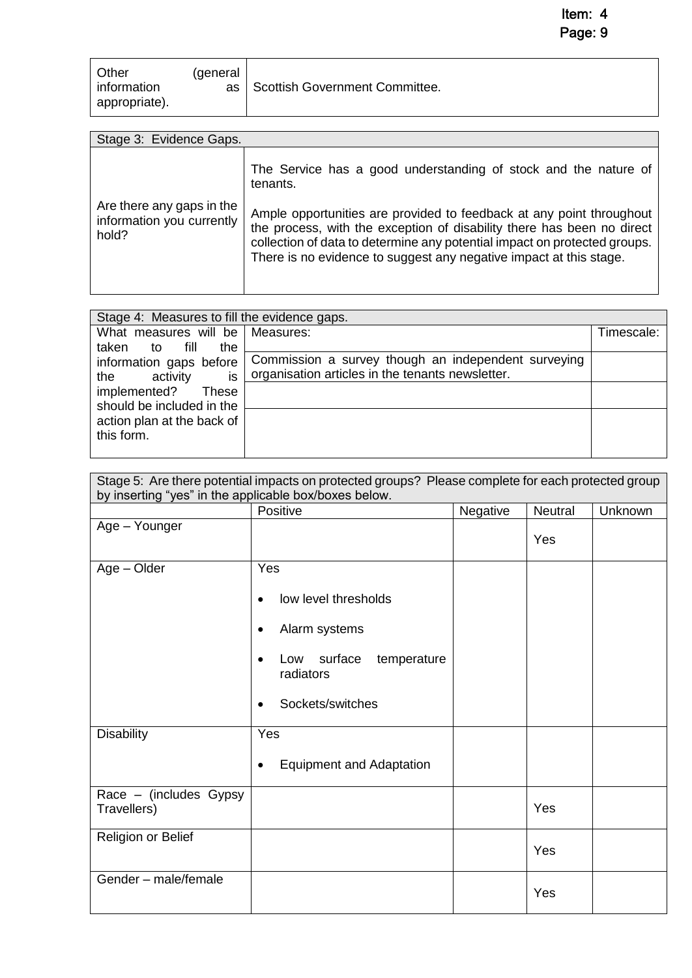Item: 4 Page: 9

| Other<br>information<br>appropriate). | (general<br>as | Scottish Government Committee. |
|---------------------------------------|----------------|--------------------------------|
|---------------------------------------|----------------|--------------------------------|

| Stage 3: Evidence Gaps.                                         |                                                                                                                                                                                                                                                                                                   |  |  |
|-----------------------------------------------------------------|---------------------------------------------------------------------------------------------------------------------------------------------------------------------------------------------------------------------------------------------------------------------------------------------------|--|--|
|                                                                 | The Service has a good understanding of stock and the nature of<br>tenants.                                                                                                                                                                                                                       |  |  |
| Are there any gaps in the<br>information you currently<br>hold? | Ample opportunities are provided to feedback at any point throughout<br>the process, with the exception of disability there has been no direct<br>collection of data to determine any potential impact on protected groups.<br>There is no evidence to suggest any negative impact at this stage. |  |  |

| Stage 4: Measures to fill the evidence gaps. |                                                     |            |  |
|----------------------------------------------|-----------------------------------------------------|------------|--|
| What measures will be   Measures:            |                                                     | Timescale: |  |
| fill<br>the<br>taken<br>to                   |                                                     |            |  |
| information gaps before                      | Commission a survey though an independent surveying |            |  |
| is<br>activity<br>the                        | organisation articles in the tenants newsletter.    |            |  |
| implemented?<br>These                        |                                                     |            |  |
| should be included in the                    |                                                     |            |  |
| action plan at the back of                   |                                                     |            |  |
| this form.                                   |                                                     |            |  |
|                                              |                                                     |            |  |

| Stage 5: Are there potential impacts on protected groups? Please complete for each protected group<br>by inserting "yes" in the applicable box/boxes below. |                                                                                                                                            |          |         |         |
|-------------------------------------------------------------------------------------------------------------------------------------------------------------|--------------------------------------------------------------------------------------------------------------------------------------------|----------|---------|---------|
|                                                                                                                                                             | Positive                                                                                                                                   | Negative | Neutral | Unknown |
| Age - Younger                                                                                                                                               |                                                                                                                                            |          | Yes     |         |
| $Age - Older$                                                                                                                                               | Yes<br>low level thresholds<br>$\bullet$<br>Alarm systems<br>٠<br>surface temperature<br>Low<br>$\bullet$<br>radiators<br>Sockets/switches |          |         |         |
| <b>Disability</b>                                                                                                                                           | Yes<br><b>Equipment and Adaptation</b><br>٠                                                                                                |          |         |         |
| Race - (includes Gypsy<br>Travellers)                                                                                                                       |                                                                                                                                            |          | Yes     |         |
| Religion or Belief                                                                                                                                          |                                                                                                                                            |          | Yes     |         |
| Gender - male/female                                                                                                                                        |                                                                                                                                            |          | Yes     |         |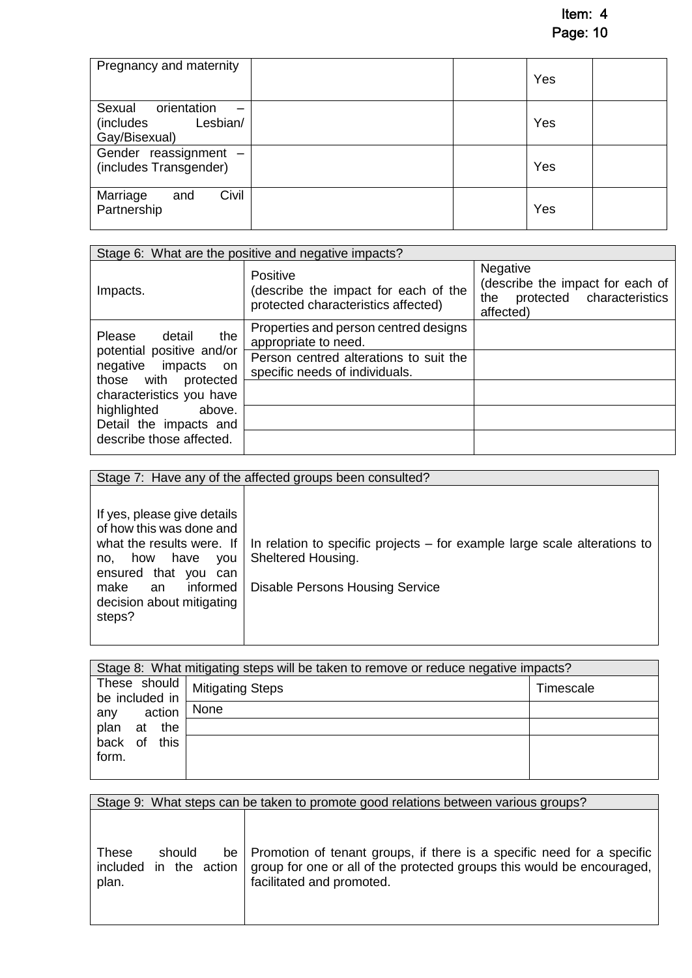Item: 4 Page: 10

| Pregnancy and maternity                                                   | Yes |
|---------------------------------------------------------------------------|-----|
| Sexual<br>orientation<br>Lesbian/<br>(includes)<br>Gay/Bisexual)          | Yes |
| Gender reassignment<br>$\overline{\phantom{a}}$<br>(includes Transgender) | Yes |
| Civil<br>Marriage<br>and<br>Partnership                                   | Yes |

|                                                                                                                                                                                                                    | Stage 6: What are the positive and negative impacts?                                                                                      |                                                                                               |
|--------------------------------------------------------------------------------------------------------------------------------------------------------------------------------------------------------------------|-------------------------------------------------------------------------------------------------------------------------------------------|-----------------------------------------------------------------------------------------------|
| Impacts.                                                                                                                                                                                                           | Positive<br>(describe the impact for each of the<br>protected characteristics affected)                                                   | Negative<br>(describe the impact for each of<br>protected characteristics<br>the<br>affected) |
| the<br>Please<br>detail<br>potential positive and/or<br>negative impacts<br>on.<br>those with protected<br>characteristics you have<br>highlighted<br>above.<br>Detail the impacts and<br>describe those affected. | Properties and person centred designs<br>appropriate to need.<br>Person centred alterations to suit the<br>specific needs of individuals. |                                                                                               |

|                                                                                                                                                                                                                   | Stage 7: Have any of the affected groups been consulted?                                                                                  |
|-------------------------------------------------------------------------------------------------------------------------------------------------------------------------------------------------------------------|-------------------------------------------------------------------------------------------------------------------------------------------|
| If yes, please give details<br>of how this was done and<br>what the results were. If<br>have<br>how<br><b>VOU</b><br>no.<br>ensured that you can<br>informed<br>make<br>an<br>decision about mitigating<br>steps? | In relation to specific projects – for example large scale alterations to<br>Sheltered Housing.<br><b>Disable Persons Housing Service</b> |

|                   | Stage 8: What mitigating steps will be taken to remove or reduce negative impacts? |           |
|-------------------|------------------------------------------------------------------------------------|-----------|
| be included in    | These should   Mitigating Steps                                                    | Timescale |
| action<br>any     | None                                                                               |           |
| plan<br>the<br>at |                                                                                    |           |
| back of<br>this   |                                                                                    |           |
| form.             |                                                                                    |           |
|                   |                                                                                    |           |

Stage 9: What steps can be taken to promote good relations between various groups?

| <b>These</b><br>plan. | should | be   Promotion of tenant groups, if there is a specific need for a specific<br>included in the action group for one or all of the protected groups this would be encouraged,<br>facilitated and promoted. |
|-----------------------|--------|-----------------------------------------------------------------------------------------------------------------------------------------------------------------------------------------------------------|
|                       |        |                                                                                                                                                                                                           |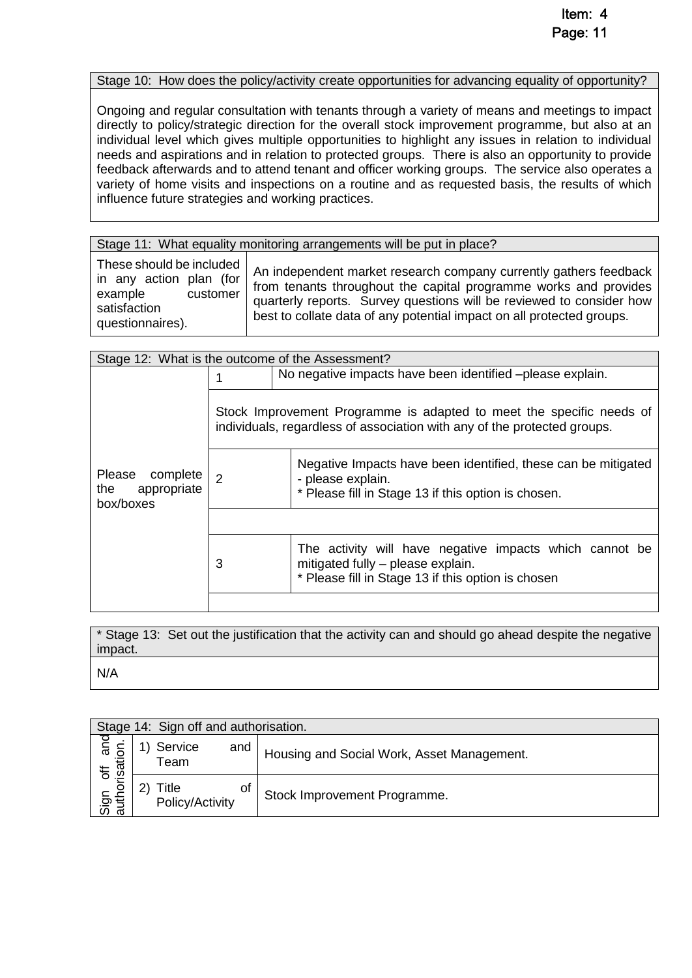#### Stage 10: How does the policy/activity create opportunities for advancing equality of opportunity?

Ongoing and regular consultation with tenants through a variety of means and meetings to impact directly to policy/strategic direction for the overall stock improvement programme, but also at an individual level which gives multiple opportunities to highlight any issues in relation to individual needs and aspirations and in relation to protected groups. There is also an opportunity to provide feedback afterwards and to attend tenant and officer working groups. The service also operates a variety of home visits and inspections on a routine and as requested basis, the results of which influence future strategies and working practices.

#### Stage 11: What equality monitoring arrangements will be put in place?

These should be included in any action plan (for example customer satisfaction questionnaires).

An independent market research company currently gathers feedback from tenants throughout the capital programme works and provides quarterly reports. Survey questions will be reviewed to consider how best to collate data of any potential impact on all protected groups.

|                                                              |   | Stage 12: What is the outcome of the Assessment?                                                                                                   |
|--------------------------------------------------------------|---|----------------------------------------------------------------------------------------------------------------------------------------------------|
|                                                              |   | No negative impacts have been identified -please explain.                                                                                          |
|                                                              |   | Stock Improvement Programme is adapted to meet the specific needs of<br>individuals, regardless of association with any of the protected groups.   |
| <b>Please</b><br>complete<br>appropriate<br>the<br>box/boxes | 2 | Negative Impacts have been identified, these can be mitigated<br>- please explain.<br>* Please fill in Stage 13 if this option is chosen.          |
|                                                              |   |                                                                                                                                                    |
|                                                              | 3 | The activity will have negative impacts which cannot be<br>mitigated fully - please explain.<br>* Please fill in Stage 13 if this option is chosen |
|                                                              |   |                                                                                                                                                    |

\* Stage 13: Set out the justification that the activity can and should go ahead despite the negative impact. N/A

|                                   | Stage 14: Sign off and authorisation. |                                            |
|-----------------------------------|---------------------------------------|--------------------------------------------|
| ত<br>horisation<br>$\overline{5}$ | Service<br>and<br>Team                | Housing and Social Work, Asset Management. |
| ਪੀ<br>ਹਵਾ<br>ਹਵਾ                  | οf<br>Title<br>Policy/Activity        | Stock Improvement Programme.               |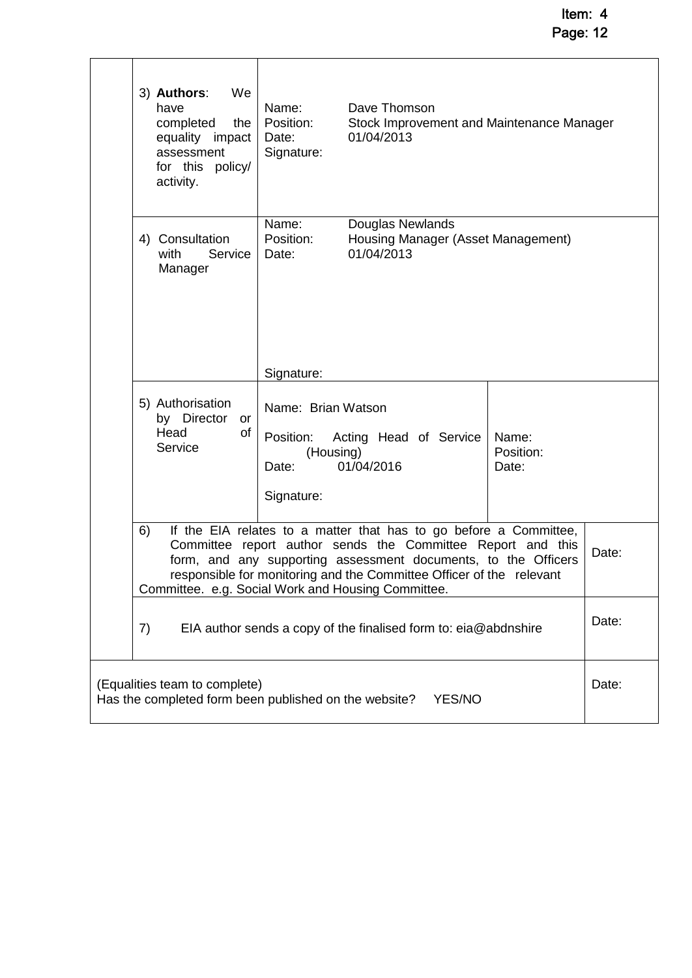Item: 4 Page: 12

| 3) Authors:<br>We<br>have<br>completed<br>the<br>equality impact<br>assessment<br>for this policy/<br>activity. | Name:<br>Position:<br>Date:<br>Signature:                           | Dave Thomson<br>Stock Improvement and Maintenance Manager<br>01/04/2013                                                                                                                                                                                                    |                             |       |
|-----------------------------------------------------------------------------------------------------------------|---------------------------------------------------------------------|----------------------------------------------------------------------------------------------------------------------------------------------------------------------------------------------------------------------------------------------------------------------------|-----------------------------|-------|
| 4) Consultation<br>Service<br>with<br>Manager                                                                   | Name:<br>Position:<br>Date:                                         | Douglas Newlands<br>Housing Manager (Asset Management)<br>01/04/2013                                                                                                                                                                                                       |                             |       |
|                                                                                                                 | Signature:                                                          |                                                                                                                                                                                                                                                                            |                             |       |
| 5) Authorisation<br>by Director<br>or<br>Head<br>of<br>Service                                                  | Name: Brian Watson<br>Position:<br>(Housing)<br>Date:<br>Signature: | Acting Head of Service<br>01/04/2016                                                                                                                                                                                                                                       | Name:<br>Position:<br>Date: |       |
| 6)<br>Committee. e.g. Social Work and Housing Committee.                                                        |                                                                     | If the EIA relates to a matter that has to go before a Committee,<br>Committee report author sends the Committee Report and this<br>form, and any supporting assessment documents, to the Officers<br>responsible for monitoring and the Committee Officer of the relevant |                             | Date: |
| 7)                                                                                                              |                                                                     | EIA author sends a copy of the finalised form to: eia@abdnshire                                                                                                                                                                                                            |                             | Date: |
| (Equalities team to complete)<br>Has the completed form been published on the website?                          |                                                                     | YES/NO                                                                                                                                                                                                                                                                     |                             | Date: |